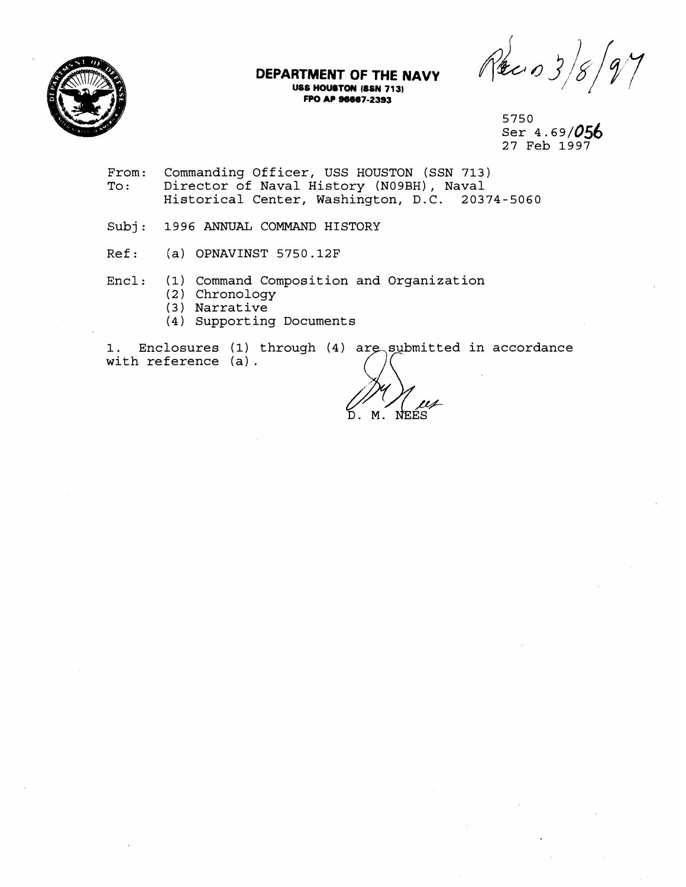

# **DEPARTMENT OF THE NAVY USS HOUSTON (SSN 713)** FPO AP **96667-2393**

Reco 3

5750 Ser  $4.69/056$ 27 Feb 1997

- From: Commanding Officer, USS HOUSTON (SSN 713)<br>To: Director of Naval History (N09BH), Naval Director of Naval History (N09BH), Naval Historical Center, Washington, D.C. 20374-5060
- Subj: 1996 ANNUAL COMMAND HISTORY
- Ref: (a) OPNAVINST 5750.12F
- Encl: (1) Command Composition and Organization
	- (2 ) Chronology
	- (3) Narrative
	- (4) Supporting Documents

1. Enclosures (1) through (4) are submitted in accordance with reference (a).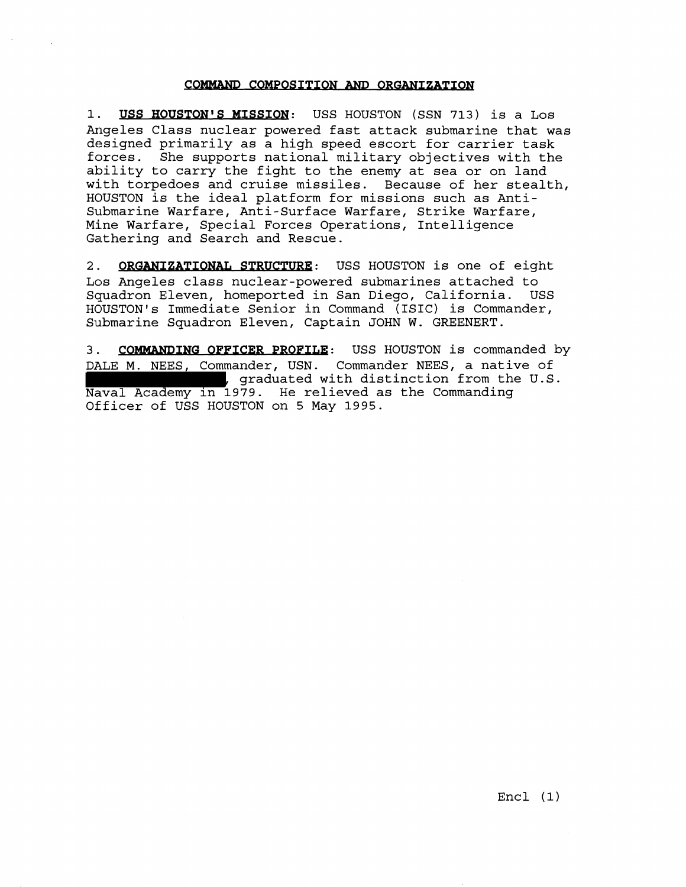# COMMAND COMPOSITION AND ORGANIZATION

**1. USS HOUSTON'S MISSION:** USS HOUSTON (SSN 713) is a Los Angeles Class nuclear powered fast attack submarine that was designed primarily as a high speed escort for carrier task forces. She supports national military objectives with the ability to carry the fight to the enemy at sea or on land with torpedoes and cruise missiles. Because of her stealth, HOUSTON is the ideal platform for missions such as Anti-Submarine Warfare, Anti-Surface Warfare, Strike Warfare, Mine Warfare, Special Forces Operations, Intelligence Gathering and Search and Rescue. COMMAND COMPOSITION AND ORGANIZATION<br>
1. USS HOUSTON'S MISSION: USS HOUSTON (SSN 713) is a Los<br>
Angeles Class nuclear powered fast attack submarine that was<br>
designed primarily as a high speed escort for carrier task<br>
forc

2. ORGANIZATIONAL STRUCTURE: USS HOUSTON is one of eight Los Angeles class nuclear-powered submarines attached to Squadron Eleven, homeported in San Diego, California. HOUSTON'S Immediate Senior in Command (ISIC) is Commander, Submarine Squadron Eleven, Captain JOHN W. GREENERT.

DALE M. NEES, Commander, USN. Commander NEES, a native of<br>
, graduated with distinction from the U.S. Naval Academy in 1979. He relieved as the Commanding Officer of USS HOUSTON on **5** May **1995.**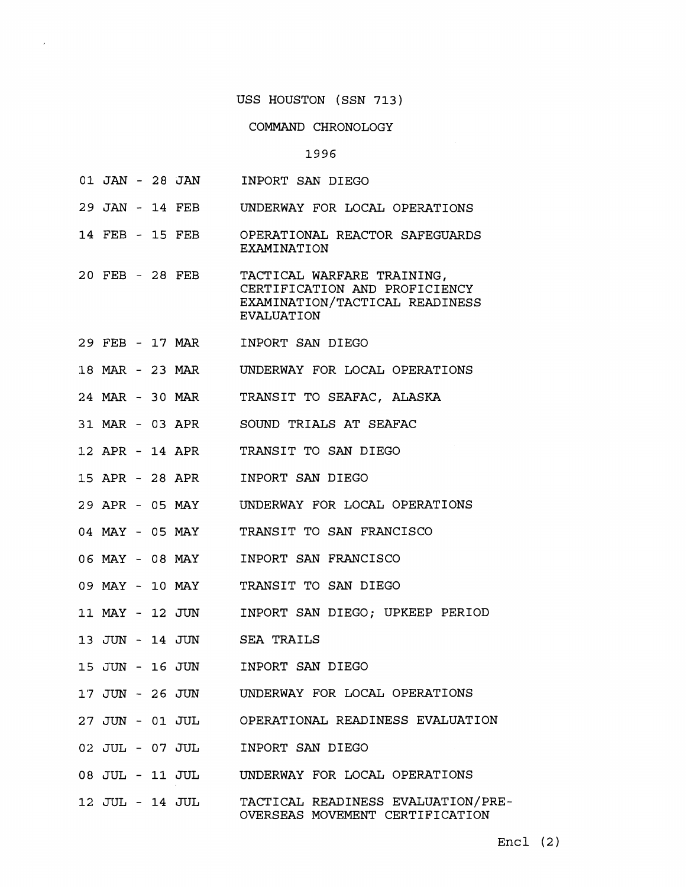### COMMAND CHRONOLOGY

#### 1996

- **01** JAN **28** JAN INPORT SAN DIEGO
- **29** JAN **14** FEB UNDERWAY FOR LOCAL OPERATIONS
- **14** FEB **15** FEB OPERATIONAL REACTOR SAFEGUARDS EXAMINATION
- **20** FEB **28** FEB TACTICAL WARFARE TRAINING, CERTIFICATION AND PROFICIENCY EXAMINATION/TACTICAL READINESS EVALUATION
- **:29** FEB **17** MAR INPORT SAN DIEGO
- **18 MAR 23 MAR**  UNDERWAY FOR LOCAL OPERATIONS
- **24 MAR 30 MAR**  TRANSIT TO SEAFAC, ALASKA
- **31 MAR 03** APR SOUND TRIALS AT SEAFAC
- **1-2** .APR **14** APR TRANSIT TO SAN DIEGO
- **1.5** APR **28** APR INPORT SAN DIEGO
- **29** APR **05** MAY UNDERWAY FOR LOCAL OPERATIONS
- **04** MAY **05** MAY TRANSIT TO SAN FRANCISCO
- **06** h4AY **08** MAY INPORT SAN FRANCISCO
- **09** MAY **10** MAY TRANSIT TO SAN DIEGO
- **11** blAY **12** JUN INPORT SAN DIEGO; UPKEEP PERIOD
- **13** JUN **14** JUN SEA TRAILS
- **<sup>15</sup>**JUN **16** JUN INPORT SAN DIEGO
- **1'7** J'UN **26** JUN UNDERWAY FOR LOCAL OPERATIONS
- **2'7** JUN **01** JUL OPERATIONAL READINESS EVALUATION
- **02** JUL **07** JUL INPORT SAN DIEGO
- **08** JUL **11** JUL UNDERWAY FOR LOCAL OPERATIONS
- **12** JUL **14** JUL TACTICAL READINESS EVALUATION/PRE OVERSEAS MOVEMENT CERTIFICATION

Encl (2)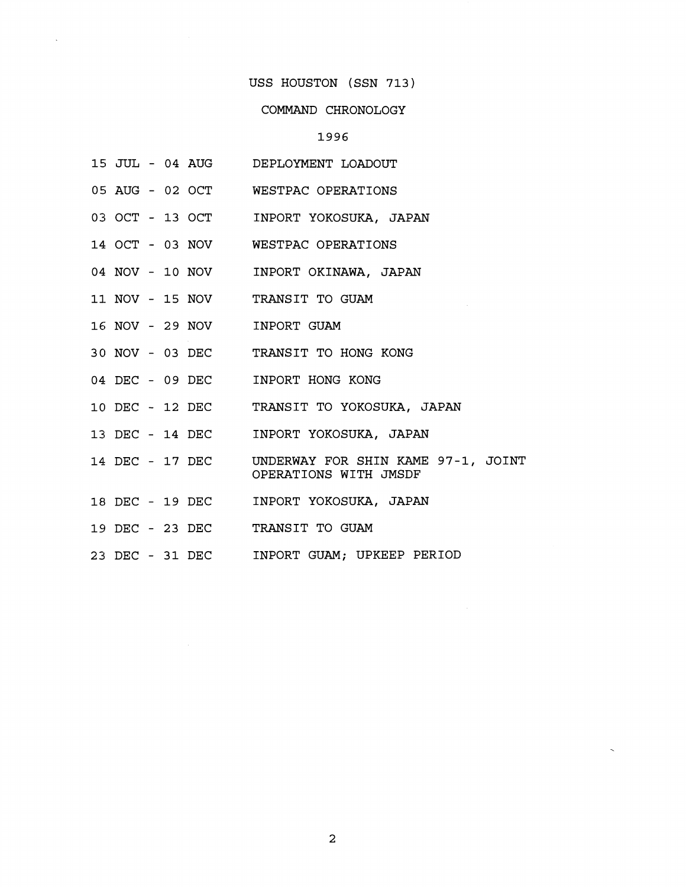# COMMAND CHRONOLOGY

# 1996

- 15; JUL 04 AUG DEPLOYMENT LOADOUT
- 05 AUG 02 OCT WESTPAC OPERATIONS
- 03 OCT 13 OCT INPORT YOKOSUKA, JAPAN
- 14 OCT 03 NOV WESTPAC OPERATIONS
- 04 NOV 10 NOV INPORT OKINAWA, JAPAN
- 11 NOV 15 NOV TRANSIT TO GUAM
- 16 NOV 29 NOV INPORT GUAM
- 30 NOV 03 DEC TRANSIT TO HONG KONG
- 04 DEC 09 DEC INPORT HONG KONG
- 10 DEC 12 DEC TRANSIT TO YOKOSUKA, JAPAN
- 13 DEC 14 DEC INPORT YOKOSUKA, JAPAN
- 14 DEC 17 DEC UNDERWAY FOR SHIN KAME 97-1, JOINT OPERATIONS WITH JMSDF
- 18 DEC 19 DEC INPORT YOKOSUKA, JAPAN
- 19 DEC 23 DEC TRANSIT TO GUAM
- 23 DEC 31 DEC INPORT GUAM; UPKEEP PERIOD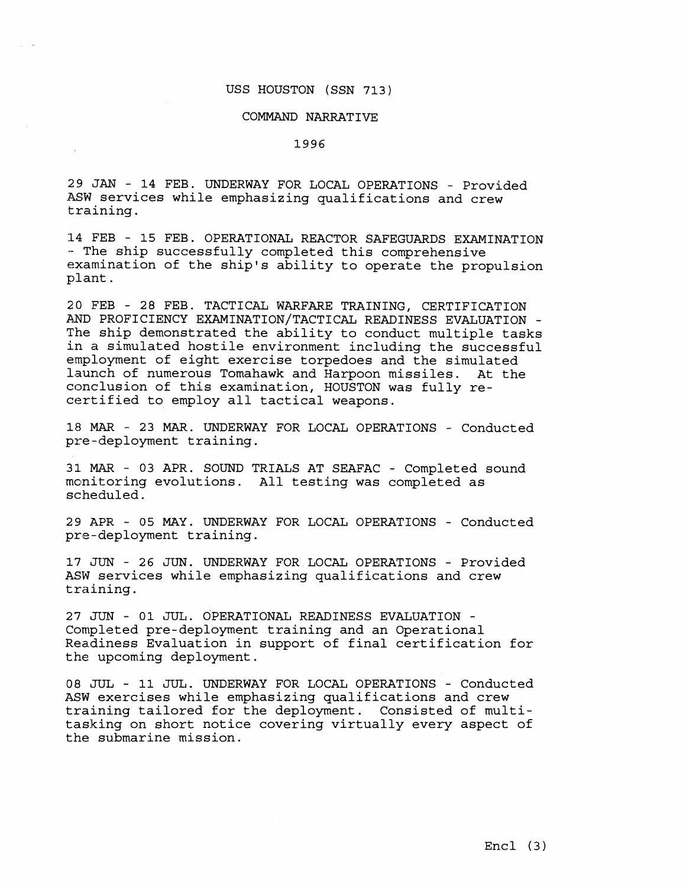# COMMAND NARRATIVE

1996

29 JAN - 14 FEB. UNDERWAY FOR LOCAL OPERATIONS - Provided .ASW services while emphasizing qualifications and crew training.

**<sup>14</sup>**FEB - 15 FEB. OPERATIONAL REACTOR SAFEGUARDS EXAMINATION - The ship successfully completed this comprehensive examination of the ship's ability to operate the propulsion plant.

20 FEB - 28 FEB. TACTICAL WARFARE TRAINING, CERTIFICATION AND PROFICIENCY EXAMINATION/TACTICAL READINESS EVALUATION - The ship demonstrated the ability to conduct multiple tasks in a simulated hostile environment including the successful employment of eight exercise torpedoes and the simulated launch of numerous Tomahawk and Harpoon missiles. At the conclusion of this examination, HOUSTON was fully recertified to employ all tactical weapons.

**18** MAR - 23 MAR. UNDERWAY FOR LOCAL OPERATIONS - Conducted pre-deployment training.

31. **MAR** - 03 APR. SOUND TRIALS AT SEAFAC - Completed sound monitoring evolutions. All testing was completed as scheduled.

29 APR - 05 MAY. UNDERWAY FOR LOCAL OPERATIONS - Conducted pre-deployment training.

**17** JUN - 26 JUN. UNDERWAY FOR LOCAL OPERATIONS - Provided ASW services while emphasizing qualifications and crew training.

**27** JUN - 01 JUL. OPERATIONAL READINESS EVALUATION - Completed pre-deployment training and an Operational Readiness Evaluation in support of final certification for the upcoming deployment.

08 JUL - **11** JUL. UNDERWAY FOR LOCAL OPERATIONS - Conducted ASW exercises while emphasizing qualifications and crew training tailored for the deployment. Consisted of multitasking on short notice covering virtually every aspect of the submarine mission.